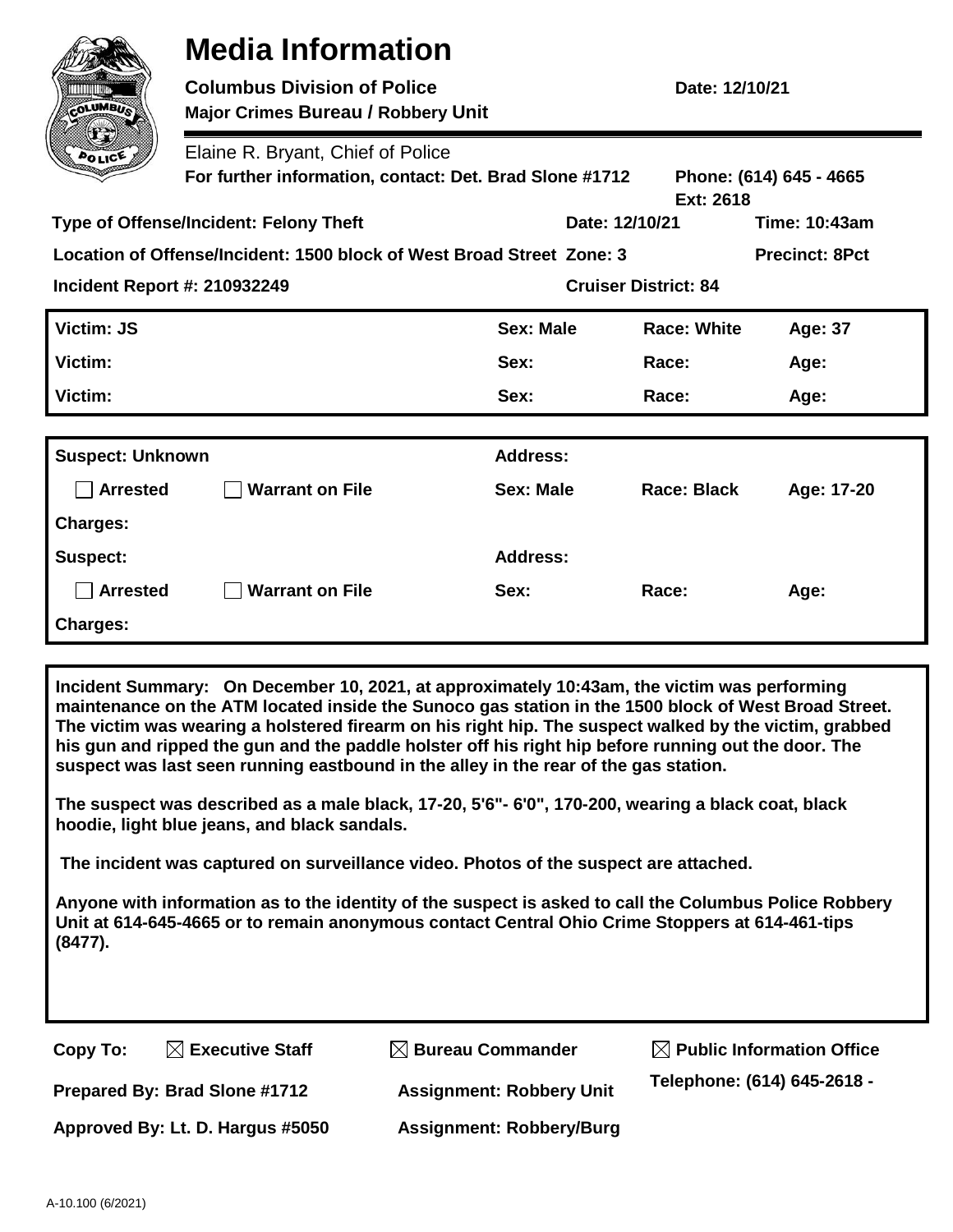| <b>Media Information</b>                                                                                                             |                  |                    |                                                                                                                        |  |
|--------------------------------------------------------------------------------------------------------------------------------------|------------------|--------------------|------------------------------------------------------------------------------------------------------------------------|--|
| <b>Columbus Division of Police</b><br><b>Major Crimes Bureau / Robbery Unit</b>                                                      |                  |                    | Date: 12/10/21                                                                                                         |  |
| Elaine R. Bryant, Chief of Police<br>For further information, contact: Det. Brad Slone #1712<br>Phone: (614) 645 - 4665<br>Ext: 2618 |                  |                    |                                                                                                                        |  |
| <b>Type of Offense/Incident: Felony Theft</b>                                                                                        |                  |                    | <b>Time: 10:43am</b>                                                                                                   |  |
|                                                                                                                                      |                  |                    | <b>Precinct: 8Pct</b>                                                                                                  |  |
| <b>Incident Report #: 210932249</b>                                                                                                  |                  |                    |                                                                                                                        |  |
|                                                                                                                                      | <b>Sex: Male</b> | <b>Race: White</b> | Age: 37                                                                                                                |  |
|                                                                                                                                      | Sex:             | Race:              | Age:                                                                                                                   |  |
|                                                                                                                                      | Sex:             | Race:              | Age:                                                                                                                   |  |
| <b>Suspect: Unknown</b>                                                                                                              | <b>Address:</b>  |                    |                                                                                                                        |  |
| <b>Warrant on File</b>                                                                                                               | <b>Sex: Male</b> | <b>Race: Black</b> | Age: 17-20                                                                                                             |  |
|                                                                                                                                      |                  |                    |                                                                                                                        |  |
|                                                                                                                                      | <b>Address:</b>  |                    |                                                                                                                        |  |
| <b>Warrant on File</b>                                                                                                               | Sex:             | Race:              | Age:                                                                                                                   |  |
|                                                                                                                                      |                  |                    |                                                                                                                        |  |
|                                                                                                                                      |                  |                    | Date: 12/10/21<br>Location of Offense/Incident: 1500 block of West Broad Street Zone: 3<br><b>Cruiser District: 84</b> |  |

**maintenance on the ATM located inside the Sunoco gas station in the 1500 block of West Broad Street. The victim was wearing a holstered firearm on his right hip. The suspect walked by the victim, grabbed his gun and ripped the gun and the paddle holster off his right hip before running out the door. The suspect was last seen running eastbound in the alley in the rear of the gas station.**

**The suspect was described as a male black, 17-20, 5'6"- 6'0", 170-200, wearing a black coat, black hoodie, light blue jeans, and black sandals.**

**The incident was captured on surveillance video. Photos of the suspect are attached.**

**Anyone with information as to the identity of the suspect is asked to call the Columbus Police Robbery Unit at 614-645-4665 or to remain anonymous contact Central Ohio Crime Stoppers at 614-461-tips (8477).**

| Copy To: | $\boxtimes$ Executive Staff      | $\boxtimes$ Bureau Commander    | $\boxtimes$ Public Information Office |
|----------|----------------------------------|---------------------------------|---------------------------------------|
|          | Prepared By: Brad Slone #1712    | <b>Assignment: Robbery Unit</b> | Telephone: (614) 645-2618 -           |
|          | Approved By: Lt. D. Hargus #5050 | <b>Assignment: Robbery/Burg</b> |                                       |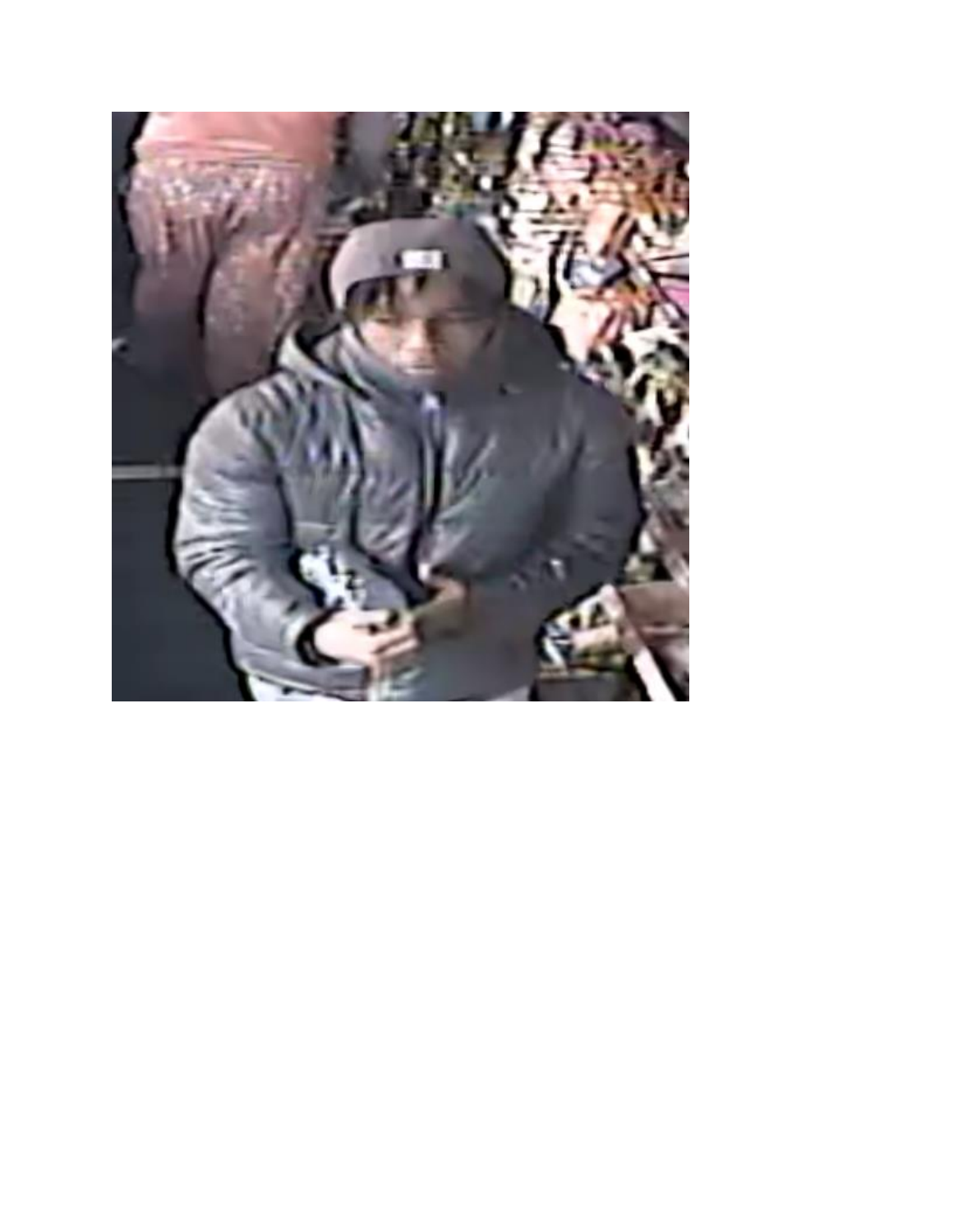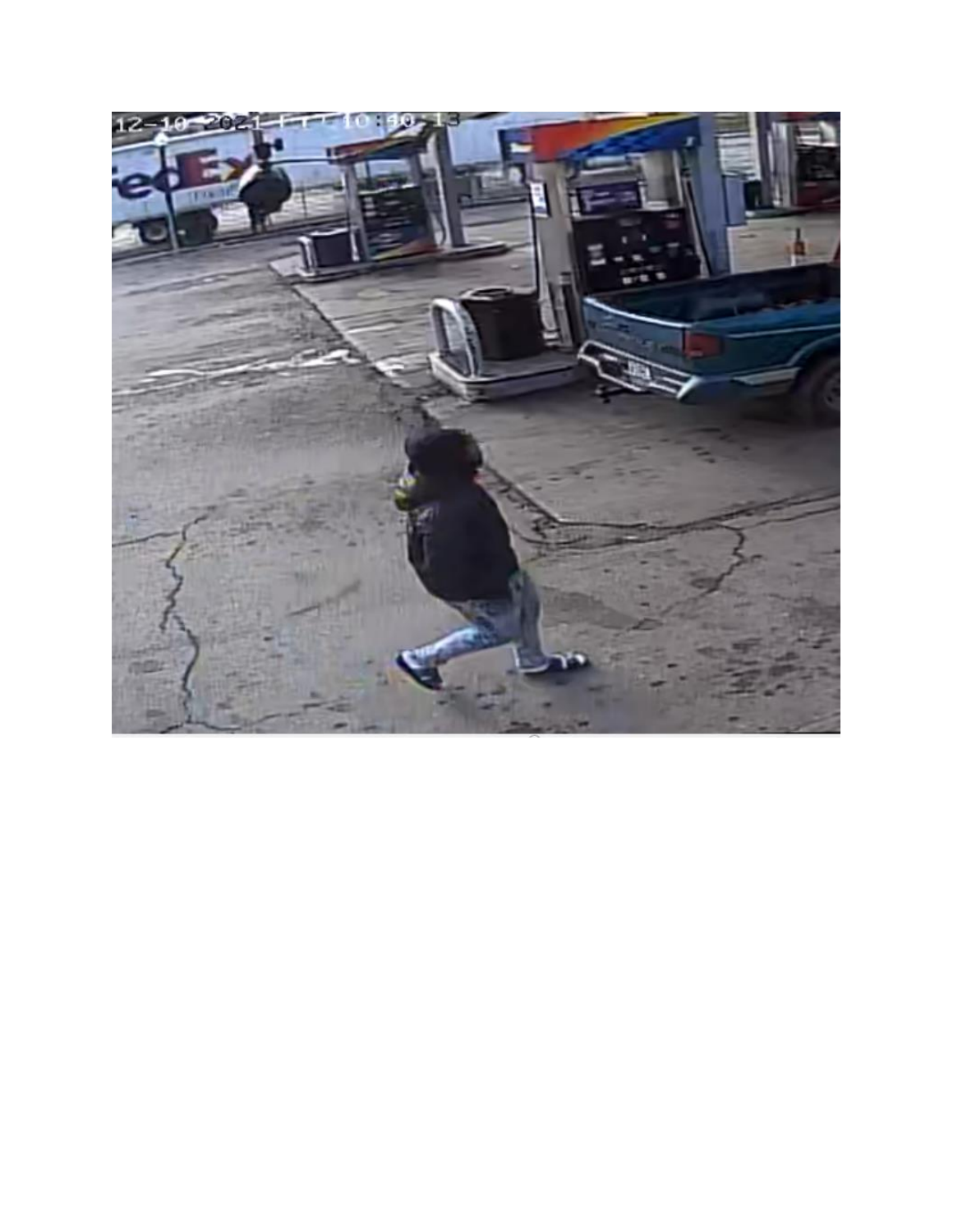